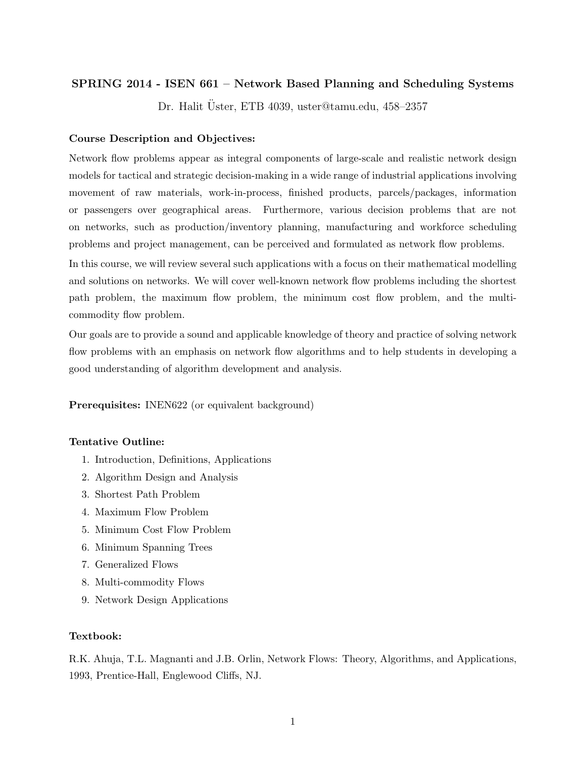# SPRING 2014 - ISEN 661 – Network Based Planning and Scheduling Systems

Dr. Halit Uster, ETB 4039, uster@tamu.edu, 458–2357 ¨

### Course Description and Objectives:

Network flow problems appear as integral components of large-scale and realistic network design models for tactical and strategic decision-making in a wide range of industrial applications involving movement of raw materials, work-in-process, finished products, parcels/packages, information or passengers over geographical areas. Furthermore, various decision problems that are not on networks, such as production/inventory planning, manufacturing and workforce scheduling problems and project management, can be perceived and formulated as network flow problems.

In this course, we will review several such applications with a focus on their mathematical modelling and solutions on networks. We will cover well-known network flow problems including the shortest path problem, the maximum flow problem, the minimum cost flow problem, and the multicommodity flow problem.

Our goals are to provide a sound and applicable knowledge of theory and practice of solving network flow problems with an emphasis on network flow algorithms and to help students in developing a good understanding of algorithm development and analysis.

Prerequisites: INEN622 (or equivalent background)

### Tentative Outline:

- 1. Introduction, Definitions, Applications
- 2. Algorithm Design and Analysis
- 3. Shortest Path Problem
- 4. Maximum Flow Problem
- 5. Minimum Cost Flow Problem
- 6. Minimum Spanning Trees
- 7. Generalized Flows
- 8. Multi-commodity Flows
- 9. Network Design Applications

## Textbook:

R.K. Ahuja, T.L. Magnanti and J.B. Orlin, Network Flows: Theory, Algorithms, and Applications, 1993, Prentice-Hall, Englewood Cliffs, NJ.